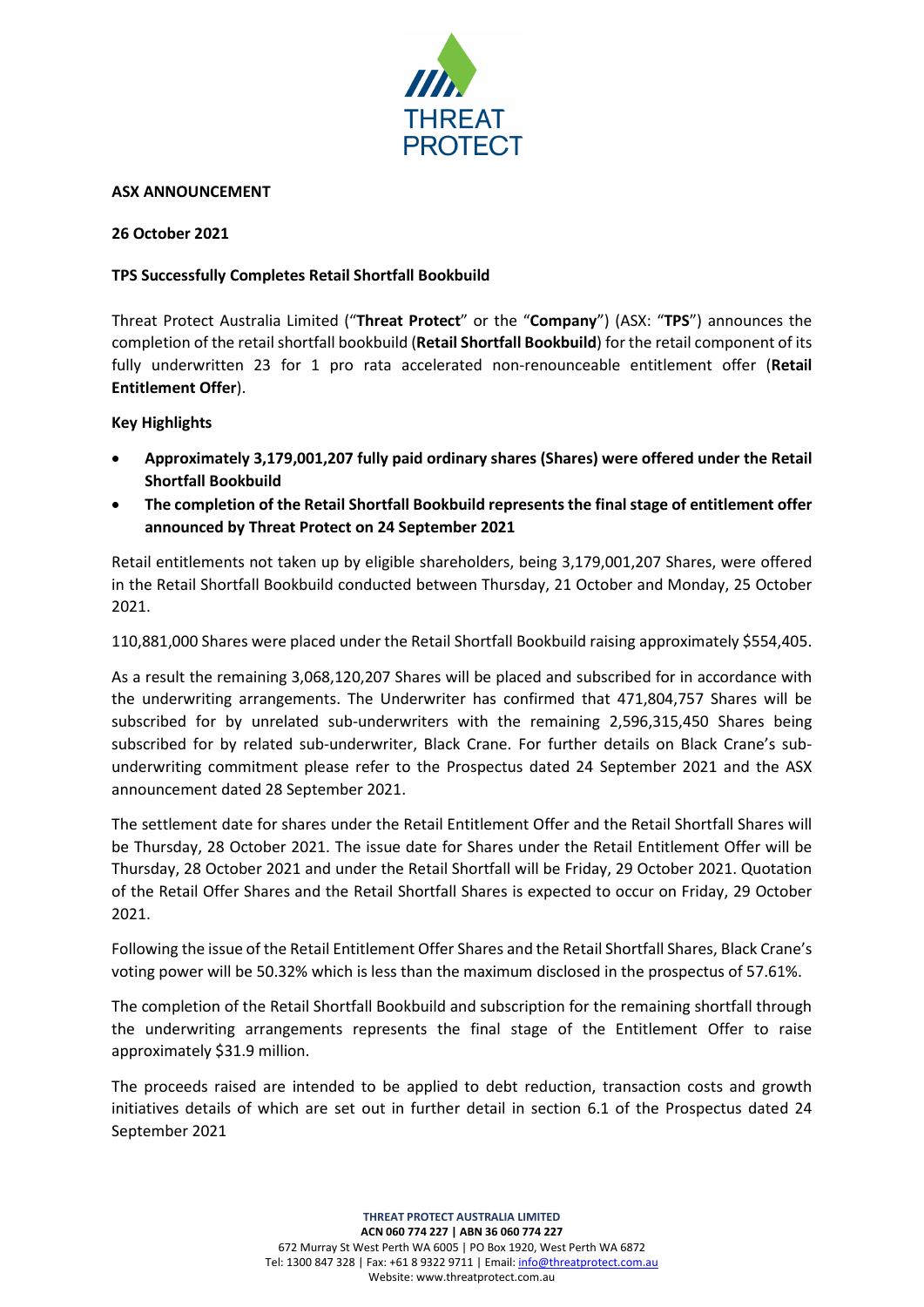

#### **ASX ANNOUNCEMENT**

### **26 October 2021**

# **TPS Successfully Completes Retail Shortfall Bookbuild**

Threat Protect Australia Limited ("**Threat Protect**" or the "**Company**") (ASX: "**TPS**") announces the completion of the retail shortfall bookbuild (**Retail Shortfall Bookbuild**) for the retail component of its fully underwritten 23 for 1 pro rata accelerated non-renounceable entitlement offer (**Retail Entitlement Offer**).

#### **Key Highlights**

- **Approximately 3,179,001,207 fully paid ordinary shares (Shares) were offered under the Retail Shortfall Bookbuild**
- **The completion of the Retail Shortfall Bookbuild represents the final stage of entitlement offer announced by Threat Protect on 24 September 2021**

Retail entitlements not taken up by eligible shareholders, being 3,179,001,207 Shares, were offered in the Retail Shortfall Bookbuild conducted between Thursday, 21 October and Monday, 25 October 2021.

110,881,000 Shares were placed under the Retail Shortfall Bookbuild raising approximately \$554,405.

As a result the remaining 3,068,120,207 Shares will be placed and subscribed for in accordance with the underwriting arrangements. The Underwriter has confirmed that 471,804,757 Shares will be subscribed for by unrelated sub-underwriters with the remaining 2,596,315,450 Shares being subscribed for by related sub-underwriter, Black Crane. For further details on Black Crane's subunderwriting commitment please refer to the Prospectus dated 24 September 2021 and the ASX announcement dated 28 September 2021.

The settlement date for shares under the Retail Entitlement Offer and the Retail Shortfall Shares will be Thursday, 28 October 2021. The issue date for Shares under the Retail Entitlement Offer will be Thursday, 28 October 2021 and under the Retail Shortfall will be Friday, 29 October 2021. Quotation of the Retail Offer Shares and the Retail Shortfall Shares is expected to occur on Friday, 29 October 2021.

Following the issue of the Retail Entitlement Offer Shares and the Retail Shortfall Shares, Black Crane's voting power will be 50.32% which is less than the maximum disclosed in the prospectus of 57.61%.

The completion of the Retail Shortfall Bookbuild and subscription for the remaining shortfall through the underwriting arrangements represents the final stage of the Entitlement Offer to raise approximately \$31.9 million.

The proceeds raised are intended to be applied to debt reduction, transaction costs and growth initiatives details of which are set out in further detail in section 6.1 of the Prospectus dated 24 September 2021